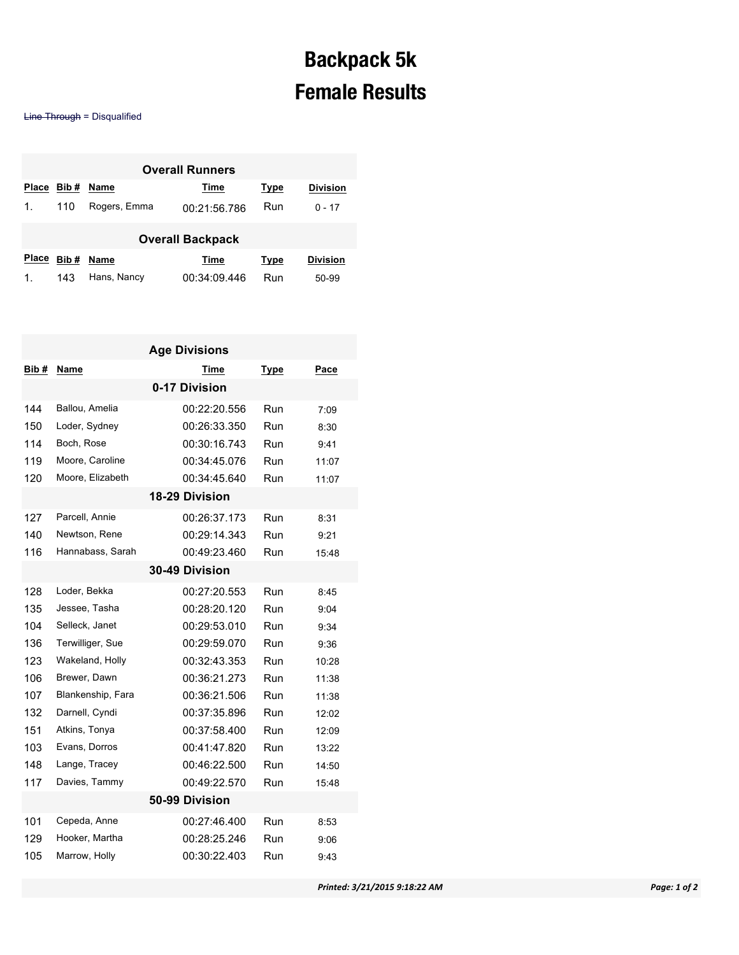## **Backpack 5k Female Results**

Line Through = Disqualified

| <b>Overall Runners</b>  |      |              |              |      |                 |  |  |  |  |
|-------------------------|------|--------------|--------------|------|-----------------|--|--|--|--|
| <b>Place</b>            | Bib# | Name         | Time         | Type | <b>Division</b> |  |  |  |  |
| $\mathbf{1}$ .          | 110  | Rogers, Emma | 00:21:56.786 | Run  | $0 - 17$        |  |  |  |  |
| <b>Overall Backpack</b> |      |              |              |      |                 |  |  |  |  |
| <b>Place</b>            | Bib# | Name         | Time         | Type | <b>Division</b> |  |  |  |  |
| 1.                      | 143  | Hans, Nancy  | 00:34:09.446 | Run  | 50-99           |  |  |  |  |

| <b>Age Divisions</b> |                   |              |      |       |  |  |  |  |  |
|----------------------|-------------------|--------------|------|-------|--|--|--|--|--|
| Bib#                 | Name              | Time         | Type | Pace  |  |  |  |  |  |
| 0-17 Division        |                   |              |      |       |  |  |  |  |  |
| 144                  | Ballou, Amelia    | 00:22:20.556 | Run  | 7:09  |  |  |  |  |  |
| 150                  | Loder, Sydney     | 00:26:33.350 | Run  | 8:30  |  |  |  |  |  |
| 114                  | Boch, Rose        | 00:30:16.743 | Run  | 9:41  |  |  |  |  |  |
| 119                  | Moore, Caroline   | 00:34:45.076 | Run  | 11:07 |  |  |  |  |  |
| 120                  | Moore, Elizabeth  | 00:34:45.640 | Run  | 11:07 |  |  |  |  |  |
| 18-29 Division       |                   |              |      |       |  |  |  |  |  |
| 127                  | Parcell, Annie    | 00:26:37.173 | Run  | 8:31  |  |  |  |  |  |
| 140                  | Newtson, Rene     | 00:29:14.343 | Run  | 9:21  |  |  |  |  |  |
| 116                  | Hannabass, Sarah  | 00:49:23.460 | Run  | 15:48 |  |  |  |  |  |
| 30-49 Division       |                   |              |      |       |  |  |  |  |  |
| 128                  | Loder, Bekka      | 00:27:20.553 | Run  | 8:45  |  |  |  |  |  |
| 135                  | Jessee, Tasha     | 00:28:20.120 | Run  | 9:04  |  |  |  |  |  |
| 104                  | Selleck, Janet    | 00:29:53.010 | Run  | 9:34  |  |  |  |  |  |
| 136                  | Terwilliger, Sue  | 00:29:59.070 | Run  | 9:36  |  |  |  |  |  |
| 123                  | Wakeland, Holly   | 00:32:43.353 | Run  | 10:28 |  |  |  |  |  |
| 106                  | Brewer, Dawn      | 00:36:21.273 | Run  | 11:38 |  |  |  |  |  |
| 107                  | Blankenship, Fara | 00:36:21.506 | Run  | 11:38 |  |  |  |  |  |
| 132                  | Darnell, Cyndi    | 00:37:35.896 | Run  | 12:02 |  |  |  |  |  |
| 151                  | Atkins, Tonya     | 00:37:58.400 | Run  | 12:09 |  |  |  |  |  |
| 103                  | Evans, Dorros     | 00:41:47.820 | Run  | 13:22 |  |  |  |  |  |
| 148                  | Lange, Tracey     | 00:46:22.500 | Run  | 14:50 |  |  |  |  |  |
| 117                  | Davies, Tammy     | 00:49:22.570 | Run  | 15:48 |  |  |  |  |  |
| 50-99 Division       |                   |              |      |       |  |  |  |  |  |
| 101                  | Cepeda, Anne      | 00:27:46.400 | Run  | 8:53  |  |  |  |  |  |
| 129                  | Hooker, Martha    | 00:28:25.246 | Run  | 9:06  |  |  |  |  |  |
| 105                  | Marrow, Holly     | 00:30:22.403 | Run  | 9:43  |  |  |  |  |  |